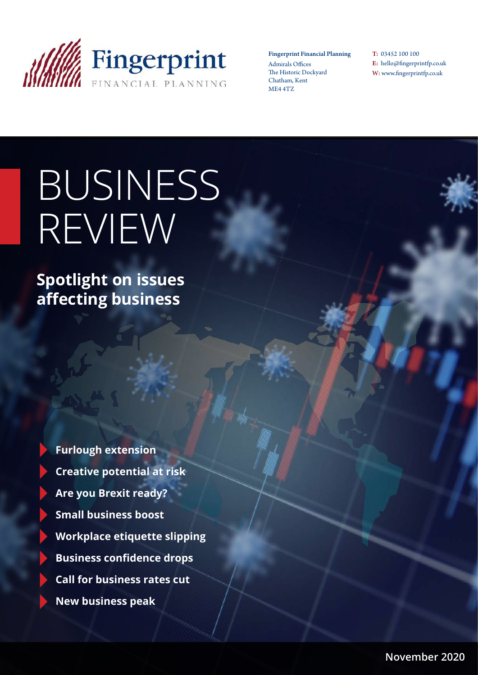

Fingerprint Financial Planning Admirals Offices The Historic Dockyard Chatham, Kent ME4 4TZ

T: 03452 100 100 E: hello@fingerprintfp.co.uk W: www.fingerprintfp.co.uk

# BUSINESS REVIEW

**Spotlight on issues affecting business**

> **Furlough extension Creative potential at risk Are you Brexit ready? Small business boost Workplace etiquette slipping Business confidence drops Call for business rates cut New business peak**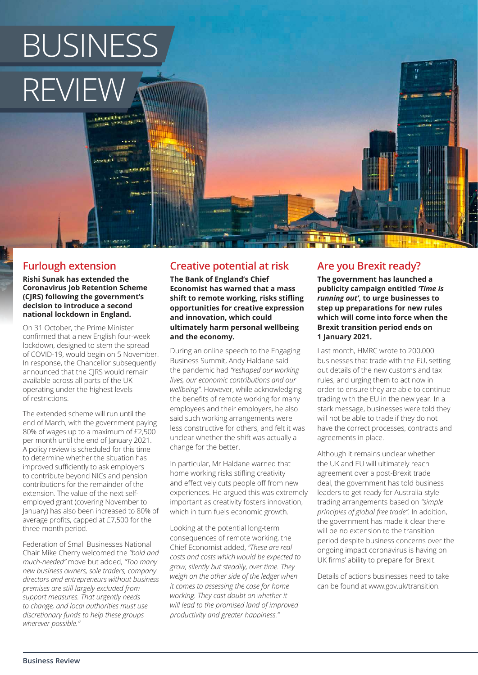# BUSINESS REVIEW

# **Furlough extension**

**Rishi Sunak has extended the Coronavirus Job Retention Scheme (CJRS) following the government's decision to introduce a second national lockdown in England.**

On 31 October, the Prime Minister confirmed that a new English four-week lockdown, designed to stem the spread of COVID-19, would begin on 5 November. In response, the Chancellor subsequently announced that the CJRS would remain available across all parts of the UK operating under the highest levels of restrictions.

The extended scheme will run until the end of March, with the government paying 80% of wages up to a maximum of £2,500 per month until the end of January 2021. A policy review is scheduled for this time to determine whether the situation has improved sufficiently to ask employers to contribute beyond NICs and pension contributions for the remainder of the extension. The value of the next selfemployed grant (covering November to January) has also been increased to 80% of average profits, capped at £7,500 for the three-month period.

Federation of Small Businesses National Chair Mike Cherry welcomed the *"bold and much-needed"* move but added, *"Too many new business owners, sole traders, company directors and entrepreneurs without business premises are still largely excluded from support measures. That urgently needs to change, and local authorities must use discretionary funds to help these groups wherever possible."*

# **Creative potential at risk**

**The Bank of England's Chief Economist has warned that a mass shift to remote working, risks stifling opportunities for creative expression and innovation, which could ultimately harm personal wellbeing and the economy.**

During an online speech to the Engaging Business Summit, Andy Haldane said the pandemic had *"reshaped our working lives, our economic contributions and our wellbeing"*. However, while acknowledging the benefits of remote working for many employees and their employers, he also said such working arrangements were less constructive for others, and felt it was unclear whether the shift was actually a change for the better.

In particular, Mr Haldane warned that home working risks stifling creativity and effectively cuts people off from new experiences. He argued this was extremely important as creativity fosters innovation, which in turn fuels economic growth.

Looking at the potential long-term consequences of remote working, the Chief Economist added, *"These are real costs and costs which would be expected to grow, silently but steadily, over time. They weigh on the other side of the ledger when it comes to assessing the case for home working. They cast doubt on whether it will lead to the promised land of improved productivity and greater happiness."*

# **Are you Brexit ready?**

**The government has launched a publicity campaign entitled** *'Time is running out'***, to urge businesses to step up preparations for new rules which will come into force when the Brexit transition period ends on 1 January 2021.**

Last month, HMRC wrote to 200,000 businesses that trade with the EU, setting out details of the new customs and tax rules, and urging them to act now in order to ensure they are able to continue trading with the EU in the new year. In a stark message, businesses were told they will not be able to trade if they do not have the correct processes, contracts and agreements in place.

Although it remains unclear whether the UK and EU will ultimately reach agreement over a post-Brexit trade deal, the government has told business leaders to get ready for Australia-style trading arrangements based on *"simple principles of global free trade"*. In addition, the government has made it clear there will be no extension to the transition period despite business concerns over the ongoing impact coronavirus is having on UK firms' ability to prepare for Brexit.

Details of actions businesses need to take can be found at www.gov.uk/transition.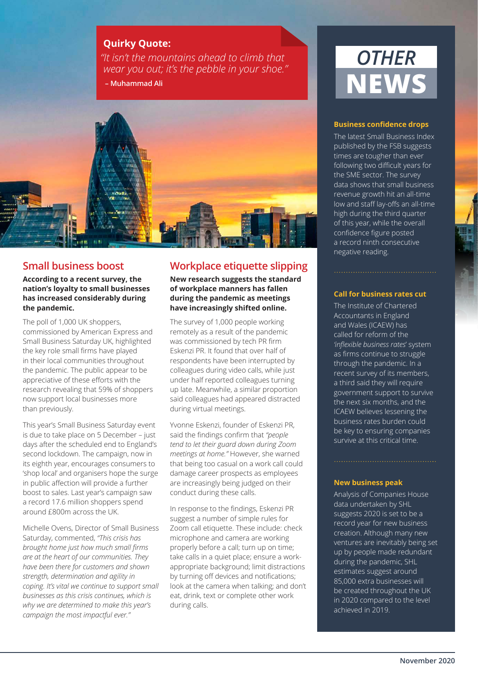### **Quirky Quote:**

*"It isn't the mountains ahead to climb that wear you out; it's the pebble in your shoe."*  **– Muhammad Ali**



## **Small business boost**

**According to a recent survey, the nation's loyalty to small businesses has increased considerably during the pandemic.**

The poll of 1,000 UK shoppers, commissioned by American Express and Small Business Saturday UK, highlighted the key role small firms have played in their local communities throughout the pandemic. The public appear to be appreciative of these efforts with the research revealing that 59% of shoppers now support local businesses more than previously.

This year's Small Business Saturday event is due to take place on 5 December – just days after the scheduled end to England's second lockdown. The campaign, now in its eighth year, encourages consumers to 'shop local' and organisers hope the surge in public affection will provide a further boost to sales. Last year's campaign saw a record 17.6 million shoppers spend around £800m across the UK.

Michelle Ovens, Director of Small Business Saturday, commented, *"This crisis has brought home just how much small firms are at the heart of our communities. They have been there for customers and shown strength, determination and agility in coping. It's vital we continue to support small businesses as this crisis continues, which is why we are determined to make this year's campaign the most impactful ever."* 

# **Workplace etiquette slipping**

**New research suggests the standard of workplace manners has fallen during the pandemic as meetings have increasingly shifted online.**

The survey of 1,000 people working remotely as a result of the pandemic was commissioned by tech PR firm Eskenzi PR. It found that over half of respondents have been interrupted by colleagues during video calls, while just under half reported colleagues turning up late. Meanwhile, a similar proportion said colleagues had appeared distracted during virtual meetings.

Yvonne Eskenzi, founder of Eskenzi PR, said the findings confirm that *"people tend to let their guard down during Zoom meetings at home."* However, she warned that being too casual on a work call could damage career prospects as employees are increasingly being judged on their conduct during these calls.

In response to the findings, Eskenzi PR suggest a number of simple rules for Zoom call etiquette. These include: check microphone and camera are working properly before a call; turn up on time; take calls in a quiet place; ensure a workappropriate background; limit distractions by turning off devices and notifications; look at the camera when talking; and don't eat, drink, text or complete other work during calls.

# *OTHER* **NEW**

#### **Business confidence drops**

The latest Small Business Index published by the FSB suggests times are tougher than ever following two difficult years for the SME sector. The survey data shows that small business revenue growth hit an all-time low and staff lay-offs an all-time high during the third quarter of this year, while the overall confidence figure posted a record ninth consecutive negative reading.

#### **Call for business rates cut**

The Institute of Chartered Accountants in England and Wales (ICAEW) has called for reform of the *'inflexible business rates*' system as firms continue to struggle through the pandemic. In a recent survey of its members, a third said they will require government support to survive the next six months, and the ICAEW believes lessening the business rates burden could be key to ensuring companies survive at this critical time.

#### **New business peak**

Analysis of Companies House data undertaken by SHL suggests 2020 is set to be a record year for new business creation. Although many new ventures are inevitably being set up by people made redundant during the pandemic, SHL estimates suggest around 85,000 extra businesses will be created throughout the UK in 2020 compared to the level achieved in 2019.